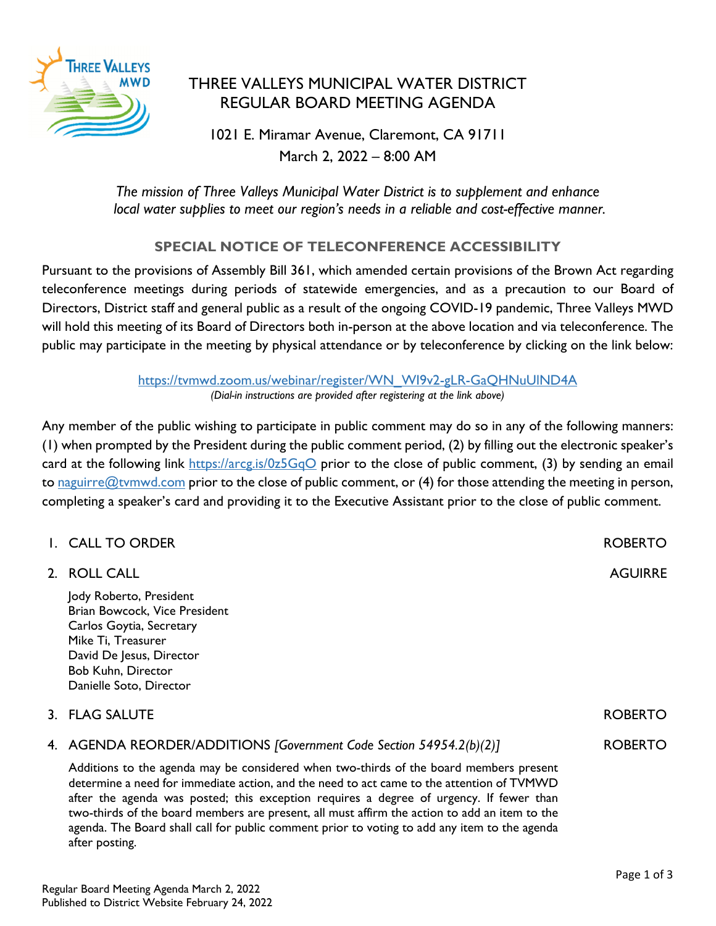

## THREE VALLEYS MUNICIPAL WATER DISTRICT REGULAR BOARD MEETING AGENDA

1021 E. Miramar Avenue, Claremont, CA 91711 March 2, 2022 – 8:00 AM

*The mission of Three Valleys Municipal Water District is to supplement and enhance local water supplies to meet our region's needs in a reliable and cost-effective manner.* 

## **SPECIAL NOTICE OF TELECONFERENCE ACCESSIBILITY**

Pursuant to the provisions of Assembly Bill 361, which amended certain provisions of the Brown Act regarding teleconference meetings during periods of statewide emergencies, and as a precaution to our Board of Directors, District staff and general public as a result of the ongoing COVID-19 pandemic, Three Valleys MWD will hold this meeting of its Board of Directors both in-person at the above location and via teleconference. The public may participate in the meeting by physical attendance or by teleconference by clicking on the link below:

> https://tvmwd.zoom.us/webinar/register/WN\_WI9v2-gLR-GaQHNuUlND4A *(Dial-in instructions are provided after registering at the link above)*

Any member of the public wishing to participate in public comment may do so in any of the following manners: (1) when prompted by the President during the public comment period, (2) by filling out the electronic speaker's card at the following link https://arcg.is/0z5GqO prior to the close of public comment, (3) by sending an email to naguirre@tymwd.com prior to the close of public comment, or (4) for those attending the meeting in person, completing a speaker's card and providing it to the Executive Assistant prior to the close of public comment.

| I. CALL TO ORDER                                                                                                                                                                                                                                                                                                                                                                                                                                                                                                                                                          | <b>ROBERTO</b> |
|---------------------------------------------------------------------------------------------------------------------------------------------------------------------------------------------------------------------------------------------------------------------------------------------------------------------------------------------------------------------------------------------------------------------------------------------------------------------------------------------------------------------------------------------------------------------------|----------------|
| 2. ROLL CALL                                                                                                                                                                                                                                                                                                                                                                                                                                                                                                                                                              | <b>AGUIRRE</b> |
| Jody Roberto, President<br>Brian Bowcock, Vice President<br>Carlos Goytia, Secretary<br>Mike Ti, Treasurer<br>David De Jesus, Director<br>Bob Kuhn, Director<br>Danielle Soto, Director                                                                                                                                                                                                                                                                                                                                                                                   |                |
| 3. FLAG SALUTE                                                                                                                                                                                                                                                                                                                                                                                                                                                                                                                                                            | <b>ROBERTO</b> |
| 4. AGENDA REORDER/ADDITIONS [Government Code Section 54954.2(b)(2)]<br>Additions to the agenda may be considered when two-thirds of the board members present<br>determine a need for immediate action, and the need to act came to the attention of TVMWD<br>after the agenda was posted; this exception requires a degree of urgency. If fewer than<br>two-thirds of the board members are present, all must affirm the action to add an item to the<br>agenda. The Board shall call for public comment prior to voting to add any item to the agenda<br>after posting. | <b>ROBERTO</b> |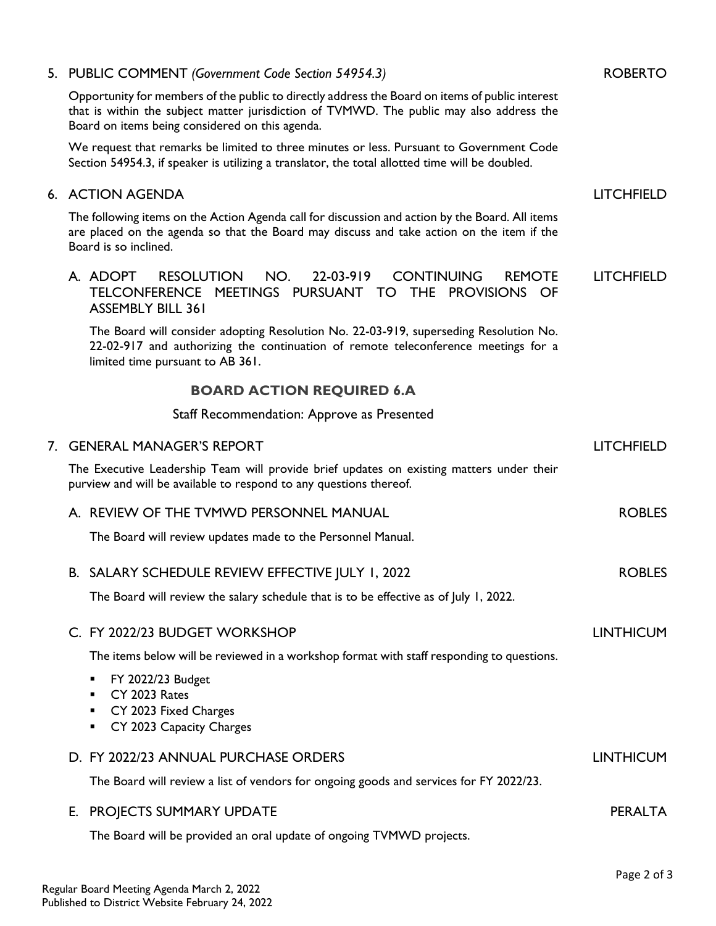|             | 5. PUBLIC COMMENT (Government Code Section 54954.3)                                                                                                                                                                                            | <b>ROBERTO</b>    |
|-------------|------------------------------------------------------------------------------------------------------------------------------------------------------------------------------------------------------------------------------------------------|-------------------|
|             | Opportunity for members of the public to directly address the Board on items of public interest<br>that is within the subject matter jurisdiction of TVMWD. The public may also address the<br>Board on items being considered on this agenda. |                   |
|             | We request that remarks be limited to three minutes or less. Pursuant to Government Code<br>Section 54954.3, if speaker is utilizing a translator, the total allotted time will be doubled.                                                    |                   |
|             | 6. ACTION AGENDA                                                                                                                                                                                                                               | <b>LITCHFIELD</b> |
|             | The following items on the Action Agenda call for discussion and action by the Board. All items<br>are placed on the agenda so that the Board may discuss and take action on the item if the<br>Board is so inclined.                          |                   |
|             | A. ADOPT<br><b>RESOLUTION</b><br>NO.<br>22-03-919<br><b>CONTINUING</b><br><b>REMOTE</b><br>TELCONFERENCE MEETINGS PURSUANT TO THE PROVISIONS OF<br><b>ASSEMBLY BILL 361</b>                                                                    | <b>LITCHFIELD</b> |
|             | The Board will consider adopting Resolution No. 22-03-919, superseding Resolution No.<br>22-02-917 and authorizing the continuation of remote teleconference meetings for a<br>limited time pursuant to AB 361.                                |                   |
|             | <b>BOARD ACTION REQUIRED 6.A</b>                                                                                                                                                                                                               |                   |
|             | Staff Recommendation: Approve as Presented                                                                                                                                                                                                     |                   |
| $7_{\cdot}$ | <b>GENERAL MANAGER'S REPORT</b>                                                                                                                                                                                                                | <b>LITCHFIELD</b> |
|             | The Executive Leadership Team will provide brief updates on existing matters under their<br>purview and will be available to respond to any questions thereof.                                                                                 |                   |
|             | A. REVIEW OF THE TVMWD PERSONNEL MANUAL                                                                                                                                                                                                        | <b>ROBLES</b>     |
|             | The Board will review updates made to the Personnel Manual.                                                                                                                                                                                    |                   |
|             | B. SALARY SCHEDULE REVIEW EFFECTIVE JULY 1, 2022                                                                                                                                                                                               | <b>ROBLES</b>     |
|             | The Board will review the salary schedule that is to be effective as of July 1, 2022.                                                                                                                                                          |                   |
|             | C. FY 2022/23 BUDGET WORKSHOP                                                                                                                                                                                                                  | <b>LINTHICUM</b>  |
|             | The items below will be reviewed in a workshop format with staff responding to questions.                                                                                                                                                      |                   |
|             | FY 2022/23 Budget<br>٠                                                                                                                                                                                                                         |                   |
|             | CY 2023 Rates<br>CY 2023 Fixed Charges<br>٠                                                                                                                                                                                                    |                   |
|             | CY 2023 Capacity Charges<br>٠                                                                                                                                                                                                                  |                   |
|             | D. FY 2022/23 ANNUAL PURCHASE ORDERS                                                                                                                                                                                                           | <b>LINTHICUM</b>  |
|             | The Board will review a list of vendors for ongoing goods and services for FY 2022/23.                                                                                                                                                         |                   |
|             | E. PROJECTS SUMMARY UPDATE                                                                                                                                                                                                                     | <b>PERALTA</b>    |
|             | The Board will be provided an oral update of ongoing TVMWD projects.                                                                                                                                                                           |                   |
|             |                                                                                                                                                                                                                                                | Page 2 of 3       |
|             |                                                                                                                                                                                                                                                |                   |